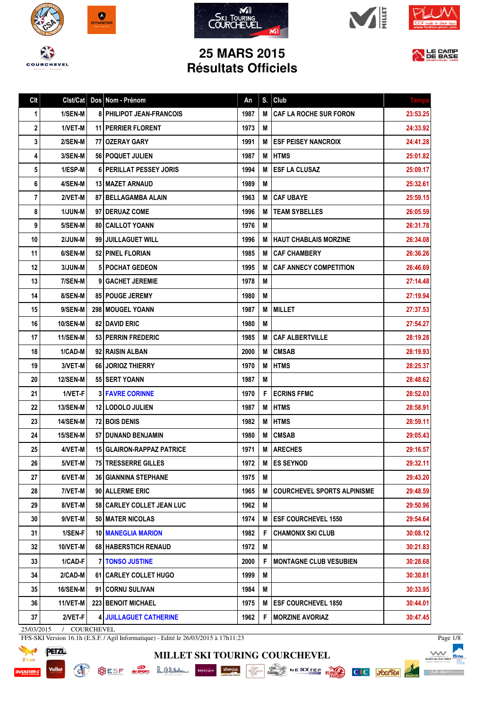











## **25 MARS 2015 Résultats Officiels**

| Clt        | Clst/Cat        | Dos Nom - Prénom                 | An   | S. | Club                               | <b>Temps</b> |
|------------|-----------------|----------------------------------|------|----|------------------------------------|--------------|
| 1          | 1/SEN-M         | <b>8 PHILIPOT JEAN-FRANCOIS</b>  | 1987 | M  | CAF LA ROCHE SUR FORON             | 23:53.25     |
| 2          | 1/VET-M         | 11   PERRIER FLORENT             | 1973 | M  |                                    | 24:33.92     |
| 3          | 2/SEN-M         | 77 OZERAY GARY                   | 1991 | M  | <b>ESF PEISEY NANCROIX</b>         | 24:41.28     |
| 4          | 3/SEN-M         | 56   POQUET JULIEN               | 1987 | М  | <b>HTMS</b>                        | 25:01.82     |
| 5          | 1/ESP-M         | 6 PERILLAT PESSEY JORIS          | 1994 | M  | <b>ESF LA CLUSAZ</b>               | 25:09.17     |
| 6          | 4/SEN-M         | <b>13 I MAZET ARNAUD</b>         | 1989 | М  |                                    | 25:32.61     |
| 7          | 2/VET-M         | 87   BELLAGAMBA ALAIN            | 1963 | M  | <b>CAF UBAYE</b>                   | 25:59.15     |
| 8          | 1/JUN-M         | 97   DERUAZ COME                 | 1996 | M  | <b>TEAM SYBELLES</b>               | 26:05.59     |
| 9          | 5/SEN-M         | 80 CAILLOT YOANN                 | 1976 | Μ  |                                    | 26:31.78     |
| 10         | 2/JUN-M         | 99 JUILLAGUET WILL               | 1996 | M  | HAUT CHABLAIS MORZINE              | 26:34.08     |
| 11         | 6/SEN-M         | 52 PINEL FLORIAN                 | 1985 | M  | <b>CAF CHAMBERY</b>                | 26:36.26     |
| 12         | 3/JUN-M         | <b>5 POCHAT GEDEON</b>           | 1995 | M  | <b>CAF ANNECY COMPETITION</b>      | 26:46.69     |
| 13         | 7/SEN-M         | 9   GACHET JEREMIE               | 1978 | Μ  |                                    | 27:14.48     |
| 14         | 8/SEN-M         | <b>85 POUGE JEREMY</b>           | 1980 | M  |                                    | 27:19.94     |
| 15         | 9/SEN-M         | <b>298 I MOUGEL YOANN</b>        | 1987 | М  | <b>MILLET</b>                      | 27:37.53     |
| 16         | <b>10/SEN-M</b> | 82 DAVID ERIC                    | 1980 | M  |                                    | 27:54.27     |
| 17         | 11/SEN-M        | 53 PERRIN FREDERIC               | 1985 | M  | CAF ALBERTVILLE                    | 28:19.28     |
| 18         | 1/CAD-M         | 92 RAISIN ALBAN                  | 2000 | M  | <b>CMSAB</b>                       | 28:19.93     |
| 19         | 3/VET-M         | 66 JORIOZ THIERRY                | 1970 | М  | <b>HTMS</b>                        | 28:25.37     |
| 20         | <b>12/SEN-M</b> | 55 SERT YOANN                    | 1987 | M  |                                    | 28:48.62     |
| 21         | 1/VET-F         | <b>3 FAVRE CORINNE</b>           | 1970 | F  | <b>ECRINS FFMC</b>                 | 28:52.03     |
| 22         | <b>13/SEN-M</b> | <b>12 LODOLO JULIEN</b>          | 1987 | M  | <b>HTMS</b>                        | 28:58.91     |
| 23         | <b>14/SEN-M</b> | 72 BOIS DENIS                    | 1982 | M  | <b>HTMS</b>                        | 28:59.11     |
| 24         | 15/SEN-M        | 57 DUNAND BENJAMIN               | 1980 | M  | <b>CMSAB</b>                       | 29:05.43     |
| 25         | 4/VET-M         | <b>15 GLAIRON-RAPPAZ PATRICE</b> | 1971 | M  | <b>ARECHES</b>                     | 29:16.57     |
| 26         | 5/VET-M         | 75 TRESSERRE GILLES              | 1972 | M  | <b>ES SEYNOD</b>                   | 29:32.11     |
| 27         | 6/VET-M         | <b>36 GIANNINA STEPHANE</b>      | 1975 | M  |                                    | 29:43.20     |
| 28         | 7/VET-M         | 90 ALLERME ERIC                  | 1965 | M  | <b>COURCHEVEL SPORTS ALPINISME</b> | 29:48.59     |
| 29         | 8/VET-M         | 58 CARLEY COLLET JEAN LUC        | 1962 | Μ  |                                    | 29:50.96     |
| 30         | 9/VET-M         | 50 MATER NICOLAS                 | 1974 | Μ  | <b>ESF COURCHEVEL 1550</b>         | 29:54.64     |
| 31         | 1/SEN-F         | 10 MANEGLIA MARION               | 1982 | F  | <b>CHAMONIX SKI CLUB</b>           | 30:08.12     |
| 32         | 10/VET-M        | <b>68 HABERSTICH RENAUD</b>      | 1972 | M  |                                    | 30:21.83     |
| 33         | 1/CAD-F         | <b>7 TONSO JUSTINE</b>           | 2000 | F  | <b>MONTAGNE CLUB VESUBIEN</b>      | 30:28.68     |
| 34         | 2/CAD-M         | 61 CARLEY COLLET HUGO            | 1999 | Μ  |                                    | 30:30.81     |
| 35         | <b>16/SEN-M</b> | 91 CORNU SULIVAN                 | 1984 | Μ  |                                    | 30:33.95     |
| 36         | $11/NET-M$      | <b>223 BENOIT MICHAEL</b>        | 1975 | M  | <b>ESF COURCHEVEL 1850</b>         | 30:44.01     |
| 37         | 2/VET-F         | <b>4 JUILLAGUET CATHERINE</b>    | 1962 | F  | <b>MORZINE AVORIAZ</b>             | 30:47.45     |
| 25/03/2015 | / COURCHEVEL    |                                  |      |    |                                    |              |

**MILLET SKI TOURING COURCHEVEL**

FFS-SKI Version 16.1h (E.S.F. / Agil Informatique) - Edité le 26/03/2015 à 17h11:23

**READ** 



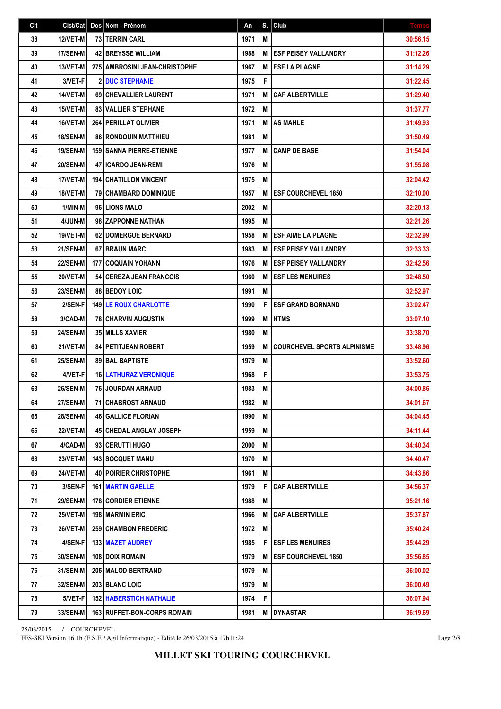| Clt | Clst/Cat        | Dos Nom - Prénom                     | An   | S. | Club                               | <b>Temps</b> |
|-----|-----------------|--------------------------------------|------|----|------------------------------------|--------------|
| 38  | 12/VET-M        | <b>73 I TERRIN CARL</b>              | 1971 | M  |                                    | 30:56.15     |
| 39  | 17/SEN-M        | <b>42 BREYSSE WILLIAM</b>            | 1988 | M  | <b>ESF PEISEY VALLANDRY</b>        | 31:12.26     |
| 40  | 13/VET-M        | 275   AMBROSINI JEAN-CHRISTOPHE      | 1967 | M  | <b>ESF LA PLAGNE</b>               | 31:14.29     |
| 41  | 3/VET-F         | <b>2 DUC STEPHANIE</b>               | 1975 | F  |                                    | 31:22.45     |
| 42  | 14/VET-M        | 69 CHEVALLIER LAURENT                | 1971 | M  | <b>CAF ALBERTVILLE</b>             | 31:29.40     |
| 43  | 15/VET-M        | <b>83   VALLIER STEPHANE</b>         | 1972 | M  |                                    | 31:37.77     |
| 44  | 16/VET-M        | <b>264 PERILLAT OLIVIER</b>          | 1971 | M  | <b>AS MAHLE</b>                    | 31:49.93     |
| 45  | <b>18/SEN-M</b> | 86 RONDOUIN MATTHIEU                 | 1981 | M  |                                    | 31:50.49     |
| 46  | <b>19/SEN-M</b> | 159 SANNA PIERRE-ETIENNE             | 1977 | M  | <b>CAMP DE BASE</b>                | 31:54.04     |
| 47  | <b>20/SEN-M</b> | <b>47 I ICARDO JEAN-REMI</b>         | 1976 | M  |                                    | 31:55.08     |
| 48  | 17/VET-M        | <b>194   CHATILLON VINCENT</b>       | 1975 | M  |                                    | 32:04.42     |
| 49  | 18/VET-M        | <b>79 CHAMBARD DOMINIQUE</b>         | 1957 | M  | <b>ESF COURCHEVEL 1850</b>         | 32:10.00     |
| 50  | 1/MIN-M         | 96 LIONS MALO                        | 2002 | M  |                                    | 32:20.13     |
| 51  | 4/JUN-M         | 98 ZAPPONNE NATHAN                   | 1995 | M  |                                    | 32:21.26     |
| 52  | 19/VET-M        | <b>62 DOMERGUE BERNARD</b>           | 1958 | M  | <b>ESF AIME LA PLAGNE</b>          | 32:32.99     |
| 53  | 21/SEN-M        | 67 BRAUN MARC                        | 1983 | M  | <b>ESF PEISEY VALLANDRY</b>        | 32:33.33     |
| 54  | <b>22/SEN-M</b> | 177 COQUAIN YOHANN                   | 1976 | M  | <b>ESF PEISEY VALLANDRY</b>        | 32:42.56     |
| 55  | 20/VET-M        | 54 CEREZA JEAN FRANCOIS              | 1960 | M  | <b>ESF LES MENUIRES</b>            | 32:48.50     |
| 56  | <b>23/SEN-M</b> | <b>88 BEDOY LOIC</b>                 | 1991 | M  |                                    | 32:52.97     |
| 57  | 2/SEN-F         | <b>149 LE ROUX CHARLOTTE</b>         | 1990 | F  | <b>ESF GRAND BORNAND</b>           | 33:02.47     |
| 58  | 3/CAD-M         | <b>78 CHARVIN AUGUSTIN</b>           | 1999 | M  | <b>HTMS</b>                        | 33:07.10     |
| 59  | <b>24/SEN-M</b> | 35 MILLS XAVIER                      | 1980 | M  |                                    | 33:38.70     |
| 60  | 21/VET-M        | <b>84 PETITJEAN ROBERT</b>           | 1959 | M  | <b>COURCHEVEL SPORTS ALPINISME</b> | 33:48.96     |
| 61  | <b>25/SEN-M</b> | <b>89 BAL BAPTISTE</b>               | 1979 | M  |                                    | 33:52.60     |
| 62  | 4/VET-F         | <b>16 LATHURAZ VERONIQUE</b>         | 1968 | F  |                                    | 33:53.75     |
| 63  | <b>26/SEN-M</b> | 76 JOURDAN ARNAUD                    | 1983 | Μ  |                                    | 34:00.86     |
| 64  | 27/SEN-M        | 71 CHABROST ARNAUD                   | 1982 | Μ  |                                    | 34:01.67     |
| 65  | <b>28/SEN-M</b> | <b>46   GALLICE FLORIAN</b>          | 1990 | M  |                                    | 34:04.45     |
| 66  | <b>22/VET-M</b> | <b>45 CHEDAL ANGLAY JOSEPH</b>       | 1959 | M  |                                    | 34:11.44     |
| 67  | 4/CAD-M         | 93 CERUTTI HUGO                      | 2000 | M  |                                    | 34:40.34     |
| 68  | 23/VET-M        | <b>143 SOCQUET MANU</b>              | 1970 | M  |                                    | 34:40.47     |
| 69  | 24/VET-M        | <b>40 POIRIER CHRISTOPHE</b>         | 1961 | M  |                                    | 34:43.86     |
| 70  | 3/SEN-F         | <b>161   MARTIN GAELLE</b>           | 1979 | F  | <b>CAF ALBERTVILLE</b>             | 34:56.37     |
| 71  | <b>29/SEN-M</b> | <b>178 CORDIER ETIENNE</b>           | 1988 | M  |                                    | 35:21.16     |
| 72  | 25/VET-M        | 198 MARMIN ERIC                      | 1966 | M  | <b>CAF ALBERTVILLE</b>             | 35:37.87     |
| 73  | 26/VET-M        | <b>259 CHAMBON FREDERIC</b>          | 1972 | M  |                                    | 35:40.24     |
| 74  | 4/SEN-F         | <b>133   MAZET AUDREY</b>            | 1985 | F  | <b>ESF LES MENUIRES</b>            | 35:44.29     |
| 75  | 30/SEN-M        | 108   DOIX ROMAIN                    | 1979 | M  | <b>ESF COURCHEVEL 1850</b>         | 35:56.85     |
| 76  | <b>31/SEN-M</b> | 205   MALOD BERTRAND                 | 1979 | M  |                                    | 36:00.02     |
| 77  | 32/SEN-M        | 203 BLANC LOIC                       | 1979 | Μ  |                                    | 36:00.49     |
| 78  | 5/VET-F         | <b>152   HABERSTICH NATHALIE</b>     | 1974 | F  |                                    | 36:07.94     |
| 79  | <b>33/SEN-M</b> | <b>163   RUFFET-BON-CORPS ROMAIN</b> | 1981 | M  | <b>DYNASTAR</b>                    | 36:19.69     |

FFS-SKI Version 16.1h (E.S.F. / Agil Informatique) - Edité le 26/03/2015 à 17h11:24

Page 2/8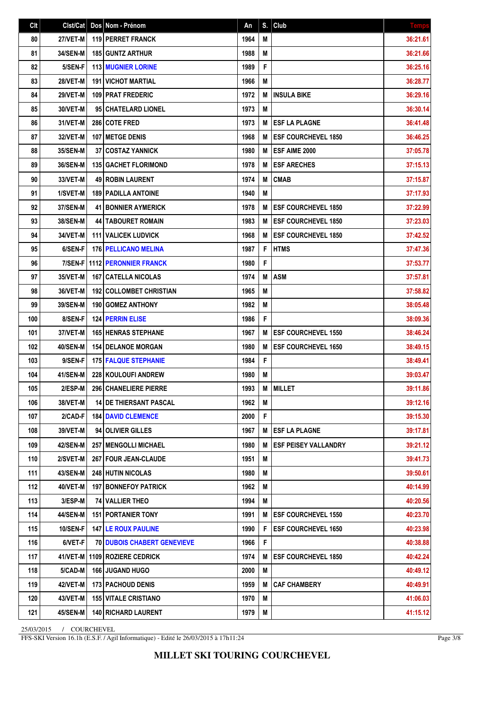| Clt | Clst/Cat        | Dos Nom - Prénom                   | An   | S. | Club                        | <b>Temps</b> |
|-----|-----------------|------------------------------------|------|----|-----------------------------|--------------|
| 80  | <b>27/VET-M</b> | <b>119 PERRET FRANCK</b>           | 1964 | M  |                             | 36:21.61     |
| 81  | <b>34/SEN-M</b> | <b>185 GUNTZ ARTHUR</b>            | 1988 | M  |                             | 36:21.66     |
| 82  | 5/SEN-F         | <b>113 MUGNIER LORINE</b>          | 1989 | F  |                             | 36:25.16     |
| 83  | <b>28/VET-M</b> | 191 VICHOT MARTIAL                 | 1966 | M  |                             | 36:28.77     |
| 84  | 29/VET-M        | 109 PRAT FREDERIC                  | 1972 | M  | <b>INSULA BIKE</b>          | 36:29.16     |
| 85  | 30/VET-M        | 95 CHATELARD LIONEL                | 1973 | M  |                             | 36:30.14     |
| 86  | 31/VET-M        | 286 COTE FRED                      | 1973 | M  | <b>ESF LA PLAGNE</b>        | 36:41.48     |
| 87  | 32/VET-M        | <b>107 IMETGE DENIS</b>            | 1968 | M  | <b>ESF COURCHEVEL 1850</b>  | 36:46.25     |
| 88  | 35/SEN-M        | <b>37 COSTAZ YANNICK</b>           | 1980 | M  | ESF AIME 2000               | 37:05.78     |
| 89  | <b>36/SEN-M</b> | <b>135 GACHET FLORIMOND</b>        | 1978 | M  | <b>ESF ARECHES</b>          | 37:15.13     |
| 90  | 33/VET-M        | <b>49 ROBIN LAURENT</b>            | 1974 | M  | <b>CMAB</b>                 | 37:15.87     |
| 91  | 1/SVET-M        | <b>189 PADILLA ANTOINE</b>         | 1940 | M  |                             | 37:17.93     |
| 92  | 37/SEN-M        | <b>41 BONNIER AYMERICK</b>         | 1978 | M  | <b>ESF COURCHEVEL 1850</b>  | 37:22.99     |
| 93  | 38/SEN-M        | <b>44   TABOURET ROMAIN</b>        | 1983 | M  | <b>ESF COURCHEVEL 1850</b>  | 37:23.03     |
| 94  | 34/VET-M        | <b>111 I VALICEK LUDVICK</b>       | 1968 | м  | <b>ESF COURCHEVEL 1850</b>  | 37:42.52     |
| 95  | 6/SEN-F         | <b>176 PELLICANO MELINA</b>        | 1987 | F  | <b>HTMS</b>                 | 37:47.36     |
| 96  | 7/SEN-F         | <b>1112 PERONNIER FRANCK</b>       | 1980 | F  |                             | 37:53.77     |
| 97  | 35/VET-M        | <b>167   CATELLA NICOLAS</b>       | 1974 | M  | <b>ASM</b>                  | 37:57.81     |
| 98  | 36/VET-M        | <b>192 COLLOMBET CHRISTIAN</b>     | 1965 | M  |                             | 37:58.82     |
| 99  | 39/SEN-M        | 190 GOMEZ ANTHONY                  | 1982 | M  |                             | 38:05.48     |
| 100 | 8/SEN-F         | <b>124 PERRIN ELISE</b>            | 1986 | F  |                             | 38:09.36     |
| 101 | 37/VET-M        | <b>165 HENRAS STEPHANE</b>         | 1967 | M  | <b>ESF COURCHEVEL 1550</b>  | 38:46.24     |
| 102 | 40/SEN-M        | <b>154 I DELANOE MORGAN</b>        | 1980 | М  | <b>ESF COURCHEVEL 1650</b>  | 38:49.15     |
| 103 | 9/SEN-F         | <b>175 FALQUE STEPHANIE</b>        | 1984 | F  |                             | 38:49.41     |
| 104 | 41/SEN-M        | 228 KOULOUFI ANDREW                | 1980 | M  |                             | 39:03.47     |
| 105 | 2/ESP-M         | 296 CHANELIERE PIERRE              | 1993 | M  | <b>MILLET</b>               | 39:11.86     |
| 106 | 38/VET-M        | <b>14 DE THIERSANT PASCAL</b>      | 1962 | M  |                             | 39:12.16     |
| 107 | 2/CAD-F         | <b>184 DAVID CLEMENCE</b>          | 2000 | F  |                             | 39:15.30     |
| 108 | 39/VET-M        | 94 OLIVIER GILLES                  | 1967 | M  | <b>ESF LA PLAGNE</b>        | 39:17.81     |
| 109 | 42/SEN-M        | <b>257   MENGOLLI MICHAEL</b>      | 1980 | M  | <b>ESF PEISEY VALLANDRY</b> | 39:21.12     |
| 110 | 2/SVET-M        | 267 FOUR JEAN-CLAUDE               | 1951 | M  |                             | 39:41.73     |
| 111 | 43/SEN-M        | 248 HUTIN NICOLAS                  | 1980 | M  |                             | 39:50.61     |
| 112 | 40/VET-M        | <b>197 BONNEFOY PATRICK</b>        | 1962 | M  |                             | 40:14.99     |
| 113 | 3/ESP-M         | 74 VALLIER THEO                    | 1994 | Μ  |                             | 40:20.56     |
| 114 | 44/SEN-M        | <b>151 PORTANIER TONY</b>          | 1991 | M  | <b>ESF COURCHEVEL 1550</b>  | 40:23.70     |
| 115 | <b>10/SEN-F</b> | <b>147 LE ROUX PAULINE</b>         | 1990 | F  | <b>ESF COURCHEVEL 1650</b>  | 40:23.98     |
| 116 | 6/VET-F         | <b>70 DUBOIS CHABERT GENEVIEVE</b> | 1966 | F  |                             | 40:38.88     |
| 117 | 41/VET-M        | 1109 ROZIERE CEDRICK               | 1974 | M  | <b>ESF COURCHEVEL 1850</b>  | 40:42.24     |
| 118 | 5/CAD-M         | 166 JUGAND HUGO                    | 2000 | M  |                             | 40:49.12     |
| 119 | 42/VET-M        | <b>173 PACHOUD DENIS</b>           | 1959 | M  | <b>CAF CHAMBERY</b>         | 40:49.91     |
| 120 | 43/VET-M        | <b>155   VITALE CRISTIANO</b>      | 1970 | M  |                             | 41:06.03     |
| 121 | 45/SEN-M        | <b>140   RICHARD LAURENT</b>       | 1979 | M  |                             | 41:15.12     |

FFS-SKI Version 16.1h (E.S.F. / Agil Informatique) - Edité le 26/03/2015 à 17h11:24

Page 3/8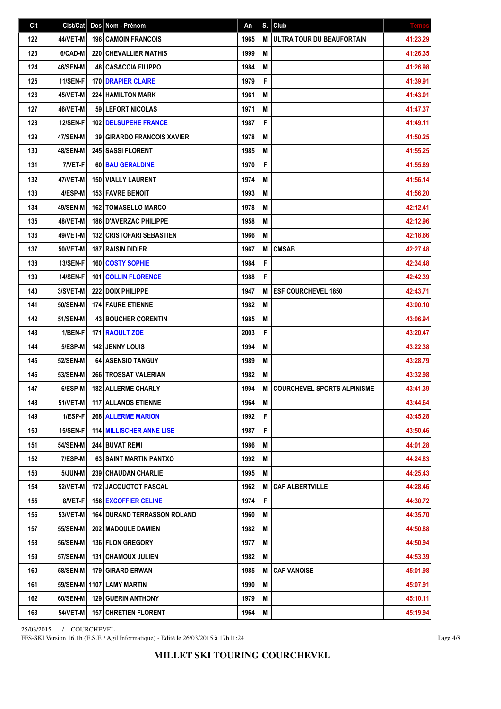| Clt | Clst/Cat        | Dos Nom - Prénom                   | An   | S. | Club                               | <b>Temps</b> |
|-----|-----------------|------------------------------------|------|----|------------------------------------|--------------|
| 122 | 44/VET-M        | <b>196 CAMOIN FRANCOIS</b>         | 1965 | M  | ULTRA TOUR DU BEAUFORTAIN          | 41:23.29     |
| 123 | 6/CAD-M         | <b>220 CHEVALLIER MATHIS</b>       | 1999 | Μ  |                                    | 41:26.35     |
| 124 | 46/SEN-M        | <b>48   CASACCIA FILIPPO</b>       | 1984 | M  |                                    | 41:26.98     |
| 125 | 11/SEN-F        | 170 DRAPIER CLAIRE                 | 1979 | F  |                                    | 41:39.91     |
| 126 | 45/VET-M        | <b>224 HAMILTON MARK</b>           | 1961 | M  |                                    | 41:43.01     |
| 127 | 46/VET-M        | 59 LEFORT NICOLAS                  | 1971 | M  |                                    | 41:47.37     |
| 128 | 12/SEN-F        | <b>102 IDELSUPEHE FRANCE</b>       | 1987 | F  |                                    | 41:49.11     |
| 129 | 47/SEN-M        | <b>39 GIRARDO FRANCOIS XAVIER</b>  | 1978 | M  |                                    | 41:50.25     |
| 130 | <b>48/SEN-M</b> | 245 SASSI FLORENT                  | 1985 | M  |                                    | 41:55.25     |
| 131 | 7/VET-F         | 60 BAU GERALDINE                   | 1970 | F  |                                    | 41:55.89     |
| 132 | 47/VET-M        | 150   VIALLY LAURENT               | 1974 | M  |                                    | 41:56.14     |
| 133 | 4/ESP-M         | 153 FAVRE BENOIT                   | 1993 | M  |                                    | 41:56.20     |
| 134 | 49/SEN-M        | <b>162   TOMASELLO MARCO</b>       | 1978 | M  |                                    | 42:12.41     |
| 135 | 48/VET-M        | 186 D'AVERZAC PHILIPPE             | 1958 | M  |                                    | 42:12.96     |
| 136 | 49/VET-M        | <b>132 CRISTOFARI SEBASTIEN</b>    | 1966 | M  |                                    | 42:18.66     |
| 137 | <b>50/VET-M</b> | <b>187 RAISIN DIDIER</b>           | 1967 | M  | <b>CMSAB</b>                       | 42:27.48     |
| 138 | <b>13/SEN-F</b> | 160 COSTY SOPHIE                   | 1984 | F  |                                    | 42:34.48     |
| 139 | 14/SEN-F        | <b>101   COLLIN FLORENCE</b>       | 1988 | F  |                                    | 42:42.39     |
| 140 | 3/SVET-M        | <b>222 DOIX PHILIPPE</b>           | 1947 | M  | <b>ESF COURCHEVEL 1850</b>         | 42:43.71     |
| 141 | 50/SEN-M        | <b>174 FAURE ETIENNE</b>           | 1982 | M  |                                    | 43:00.10     |
| 142 | <b>51/SEN-M</b> | <b>43 BOUCHER CORENTIN</b>         | 1985 | M  |                                    | 43:06.94     |
| 143 | 1/BEN-F         | 171 RAOULT ZOE                     | 2003 | F  |                                    | 43:20.47     |
| 144 | 5/ESP-M         | <b>142 JENNY LOUIS</b>             | 1994 | M  |                                    | 43:22.38     |
| 145 | 52/SEN-M        | 64 ASENSIO TANGUY                  | 1989 | M  |                                    | 43:28.79     |
| 146 | 53/SEN-M        | 266 TROSSAT VALERIAN               | 1982 | M  |                                    | 43:32.98     |
| 147 | 6/ESP-M         | 182 ALLERME CHARLY                 | 1994 | M  | <b>COURCHEVEL SPORTS ALPINISME</b> | 43:41.39     |
| 148 | 51/VET-M        | 117 ALLANOS ETIENNE                | 1964 | M  |                                    | 43:44.64     |
| 149 | 1/ESP-F         | 268 ALLERME MARION                 | 1992 | F  |                                    | 43:45.28     |
| 150 | 15/SEN-F        | <b>114 MILLISCHER ANNE LISE</b>    | 1987 | F  |                                    | 43:50.46     |
| 151 | <b>54/SEN-M</b> | 244 BUVAT REMI                     | 1986 | Μ  |                                    | 44:01.28     |
| 152 | 7/ESP-M         | 63 SAINT MARTIN PANTXO             | 1992 | M  |                                    | 44:24.83     |
| 153 | 5/JUN-M         | <b>239 CHAUDAN CHARLIE</b>         | 1995 | M  |                                    | 44:25.43     |
| 154 | <b>52/VET-M</b> | 172 JACQUOTOT PASCAL               | 1962 | M  | <b>CAF ALBERTVILLE</b>             | 44:28.46     |
| 155 | 8/VET-F         | <b>156 EXCOFFIER CELINE</b>        | 1974 | F  |                                    | 44:30.72     |
| 156 | <b>53/VET-M</b> | <b>164 DURAND TERRASSON ROLAND</b> | 1960 | M  |                                    | 44:35.70     |
| 157 | 55/SEN-M        | 202 MADOULE DAMIEN                 | 1982 | M  |                                    | 44:50.88     |
| 158 | <b>56/SEN-M</b> | 136 FLON GREGORY                   | 1977 | Μ  |                                    | 44:50.94     |
| 159 | <b>57/SEN-M</b> | <b>131   CHAMOUX JULIEN</b>        | 1982 | M  |                                    | 44:53.39     |
| 160 | 58/SEN-M        | 179 GIRARD ERWAN                   | 1985 | M  | <b>CAF VANOISE</b>                 | 45:01.98     |
| 161 | 59/SEN-M        | 1107 LAMY MARTIN                   | 1990 | M  |                                    | 45:07.91     |
| 162 | 60/SEN-M        | <b>129 GUERIN ANTHONY</b>          | 1979 | Μ  |                                    | 45:10.11     |
| 163 | <b>54/VET-M</b> | <b>157 CHRETIEN FLORENT</b>        | 1964 | M  |                                    | 45:19.94     |

FFS-SKI Version 16.1h (E.S.F. / Agil Informatique) - Edité le 26/03/2015 à 17h11:24

Page 4/8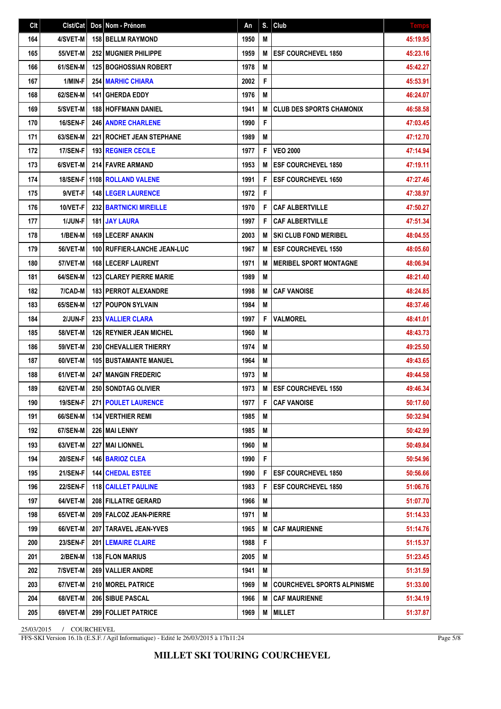| Clt | Clst/Cat        | Dos Nom - Prénom                  | An   | S. | Club                               | <b>Temps</b> |
|-----|-----------------|-----------------------------------|------|----|------------------------------------|--------------|
| 164 | 4/SVET-M        | <b>158 BELLM RAYMOND</b>          | 1950 | M  |                                    | 45:19.95     |
| 165 | 55/VET-M        | <b>252 MUGNIER PHILIPPE</b>       | 1959 | M  | <b>ESF COURCHEVEL 1850</b>         | 45:23.16     |
| 166 | 61/SEN-M        | <b>125 BOGHOSSIAN ROBERT</b>      | 1978 | M  |                                    | 45:42.27     |
| 167 | 1/MIN-F         | <b>254 MARHIC CHIARA</b>          | 2002 | F  |                                    | 45:53.91     |
| 168 | 62/SEN-M        | 141 GHERDA EDDY                   | 1976 | M  |                                    | 46:24.07     |
| 169 | 5/SVET-M        | <b>188 HOFFMANN DANIEL</b>        | 1941 | M  | <b>CLUB DES SPORTS CHAMONIX</b>    | 46:58.58     |
| 170 | 16/SEN-F        | <b>246 ANDRE CHARLENE</b>         | 1990 | F  |                                    | 47:03.45     |
| 171 | 63/SEN-M        | <b>221   ROCHET JEAN STEPHANE</b> | 1989 | M  |                                    | 47:12.70     |
| 172 | 17/SEN-F        | <b>193 REGNIER CECILE</b>         | 1977 | F  | <b>VEO 2000</b>                    | 47:14.94     |
| 173 | 6/SVET-M        | <b>214 FAVRE ARMAND</b>           | 1953 | M  | <b>ESF COURCHEVEL 1850</b>         | 47:19.11     |
| 174 |                 | 18/SEN-F   1108   ROLLAND VALENE  | 1991 | F  | <b>ESF COURCHEVEL 1650</b>         | 47:27.46     |
| 175 | 9/VET-F         | <b>148 LEGER LAURENCE</b>         | 1972 | F  |                                    | 47:38.97     |
| 176 | 10/VET-F        | <b>232 BARTNICKI MIREILLE</b>     | 1970 | F  | <b>CAF ALBERTVILLE</b>             | 47:50.27     |
| 177 | 1/JUN-F         | <b>181 JAY LAURA</b>              | 1997 | F  | <b>CAF ALBERTVILLE</b>             | 47:51.34     |
| 178 | 1/BEN-M         | <b>169 LECERF ANAKIN</b>          | 2003 | M  | <b>SKI CLUB FOND MERIBEL</b>       | 48:04.55     |
| 179 | <b>56/VET-M</b> | 100 RUFFIER-LANCHE JEAN-LUC       | 1967 | M  | <b>ESF COURCHEVEL 1550</b>         | 48:05.60     |
| 180 | 57/VET-M        | 168 LECERF LAURENT                | 1971 | M  | <b>MERIBEL SPORT MONTAGNE</b>      | 48:06.94     |
| 181 | 64/SEN-M        | <b>123 CLAREY PIERRE MARIE</b>    | 1989 | M  |                                    | 48:21.40     |
| 182 | 7/CAD-M         | <b>183   PERROT ALEXANDRE</b>     | 1998 | M  | <b>CAF VANOISE</b>                 | 48:24.85     |
| 183 | 65/SEN-M        | 127 POUPON SYLVAIN                | 1984 | M  |                                    | 48:37.46     |
| 184 | 2/JUN-F         | 233 VALLIER CLARA                 | 1997 | F  | <b>VALMOREL</b>                    | 48:41.01     |
| 185 | <b>58/VET-M</b> | <b>126 REYNIER JEAN MICHEL</b>    | 1960 | M  |                                    | 48:43.73     |
| 186 | <b>59/VET-M</b> | <b>230 CHEVALLIER THIERRY</b>     | 1974 | M  |                                    | 49:25.50     |
| 187 | 60/VET-M        | <b>105 BUSTAMANTE MANUEL</b>      | 1964 | M  |                                    | 49:43.65     |
| 188 | 61/VET-M        | <b>247 MANGIN FREDERIC</b>        | 1973 | M  |                                    | 49:44.58     |
| 189 | 62/VET-M        | 250 SONDTAG OLIVIER               | 1973 | M  | <b>ESF COURCHEVEL 1550</b>         | 49:46.34     |
| 190 | $19/SEN-F$      | <b>271 POULET LAURENCE</b>        | 1977 | F  | CAF VANOISE                        | 50:17.60     |
| 191 | 66/SEN-M        | <b>134   VERTHIER REMI</b>        | 1985 | M  |                                    | 50:32.94     |
| 192 | 67/SEN-M        | 226   MAI LENNY                   | 1985 | M  |                                    | 50:42.99     |
| 193 | 63/VET-M        | 227   MAI LIONNEL                 | 1960 | M  |                                    | 50:49.84     |
| 194 | <b>20/SEN-F</b> | 146 BARIOZ CLEA                   | 1990 | F  |                                    | 50:54.96     |
| 195 | <b>21/SEN-F</b> | <b>144 CHEDAL ESTEE</b>           | 1990 | F  | <b>ESF COURCHEVEL 1850</b>         | 50:56.66     |
| 196 | 22/SEN-F        | <b>118   CAILLET PAULINE</b>      | 1983 | F  | <b>ESF COURCHEVEL 1850</b>         | 51:06.76     |
| 197 | 64/VET-M        | <b>208 FILLATRE GERARD</b>        | 1966 | M  |                                    | 51:07.70     |
| 198 | 65/VET-M        | 209 FALCOZ JEAN-PIERRE            | 1971 | M  |                                    | 51:14.33     |
| 199 | 66/VET-M        | 207   TARAVEL JEAN-YVES           | 1965 | M  | <b>CAF MAURIENNE</b>               | 51:14.76     |
| 200 | <b>23/SEN-F</b> | <b>201   LEMAIRE CLAIRE</b>       | 1988 | F  |                                    | 51:15.37     |
| 201 | 2/BEN-M         | <b>138 FLON MARIUS</b>            | 2005 | M  |                                    | 51:23.45     |
| 202 | 7/SVET-M        | 269 VALLIER ANDRE                 | 1941 | M  |                                    | 51:31.59     |
| 203 | 67/VET-M        | <b>210 MOREL PATRICE</b>          | 1969 | M  | <b>COURCHEVEL SPORTS ALPINISME</b> | 51:33.00     |
| 204 | 68/VET-M        | <b>206   SIBUE PASCAL</b>         | 1966 | M  | <b>CAF MAURIENNE</b>               | 51:34.19     |
| 205 | 69/VET-M        | 299 FOLLIET PATRICE               | 1969 | M  | <b>MILLET</b>                      | 51:37.87     |

FFS-SKI Version 16.1h (E.S.F. / Agil Informatique) - Edité le 26/03/2015 à 17h11:24

Page 5/8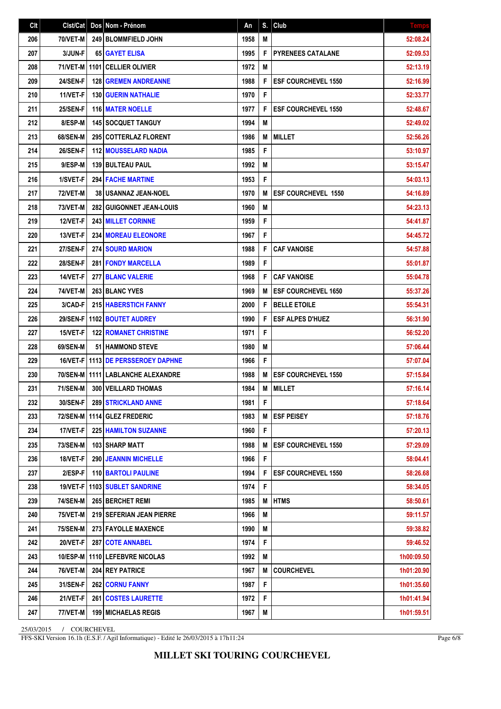| Clt | Clst/Cat        | Dos Nom - Prénom                    | An   | S. | Club                       | <b>Temps</b> |
|-----|-----------------|-------------------------------------|------|----|----------------------------|--------------|
| 206 | 70/VET-M        | 249 BLOMMFIELD JOHN                 | 1958 | M  |                            | 52:08.24     |
| 207 | 3/JUN-F         | 65 GAYET ELISA                      | 1995 | F  | <b>PYRENEES CATALANE</b>   | 52:09.53     |
| 208 |                 | 71/VET-M 1101 CELLIER OLIVIER       | 1972 | M  |                            | 52:13.19     |
| 209 | 24/SEN-F        | <b>128 GREMEN ANDREANNE</b>         | 1988 | F  | <b>ESF COURCHEVEL 1550</b> | 52:16.99     |
| 210 | 11/VET-F        | <b>130 GUERIN NATHALIE</b>          | 1970 | F  |                            | 52:33.77     |
| 211 | 25/SEN-F        | <b>116 MATER NOELLE</b>             | 1977 | F  | <b>ESF COURCHEVEL 1550</b> | 52:48.67     |
| 212 | 8/ESP-M         | <b>145 SOCQUET TANGUY</b>           | 1994 | M  |                            | 52:49.02     |
| 213 | 68/SEN-M        | 295 COTTERLAZ FLORENT               | 1986 | M  | <b>MILLET</b>              | 52:56.26     |
| 214 | 26/SEN-F        | <b>112 MOUSSELARD NADIA</b>         | 1985 | F  |                            | 53:10.97     |
| 215 | 9/ESP-M         | <b>139 BULTEAU PAUL</b>             | 1992 | M  |                            | 53:15.47     |
| 216 | 1/SVET-F        | <b>294 FACHE MARTINE</b>            | 1953 | F  |                            | 54:03.13     |
| 217 | <b>72/VET-M</b> | 38 USANNAZ JEAN-NOEL                | 1970 | M  | <b>ESF COURCHEVEL 1550</b> | 54:16.89     |
| 218 | <b>73/VET-M</b> | 282 GUIGONNET JEAN-LOUIS            | 1960 | M  |                            | 54:23.13     |
| 219 | 12/VET-F        | <b>243 MILLET CORINNE</b>           | 1959 | F  |                            | 54:41.87     |
| 220 | 13/VET-F        | <b>234 MOREAU ELEONORE</b>          | 1967 | F  |                            | 54:45.72     |
| 221 | 27/SEN-F        | <b>274 SOURD MARION</b>             | 1988 | F  | <b>CAF VANOISE</b>         | 54:57.88     |
| 222 | <b>28/SEN-F</b> | 281 FONDY MARCELLA                  | 1989 | F  |                            | 55:01.87     |
| 223 | 14/VET-F        | 277 BLANC VALERIE                   | 1968 | F  | <b>CAF VANOISE</b>         | 55:04.78     |
| 224 | <b>74/VET-M</b> | <b>263 BLANC YVES</b>               | 1969 | M  | <b>ESF COURCHEVEL 1650</b> | 55:37.26     |
| 225 | 3/CAD-F         | 215 HABERSTICH FANNY                | 2000 | F  | <b>BELLE ETOILE</b>        | 55:54.31     |
| 226 |                 | 29/SEN-F   1102   BOUTET AUDREY     | 1990 | F  | <b>ESF ALPES D'HUEZ</b>    | 56:31.90     |
| 227 | 15/VET-F        | <b>122 ROMANET CHRISTINE</b>        | 1971 | F  |                            | 56:52.20     |
| 228 | 69/SEN-M        | <b>51 HAMMOND STEVE</b>             | 1980 | M  |                            | 57:06.44     |
| 229 |                 | 16/VET-F 11113 DE PERSSEROEY DAPHNE | 1966 | F  |                            | 57:07.04     |
| 230 |                 | 70/SEN-M 11111 LABLANCHE ALEXANDRE  | 1988 | M  | <b>ESF COURCHEVEL 1550</b> | 57:15.84     |
| 231 | <b>71/SEN-M</b> | 300 VEILLARD THOMAS                 | 1984 | M  | <b>MILLET</b>              | 57:16.14     |
| 232 | 30/SEN-F        | <b>289 STRICKLAND ANNE</b>          | 1981 | F  |                            | 57:18.64     |
| 233 |                 | 72/SEN-M   1114   GLEZ FREDERIC     | 1983 | M  | <b>ESF PEISEY</b>          | 57:18.76     |
| 234 | 17/VET-F        | <b>225 HAMILTON SUZANNE</b>         | 1960 | F  |                            | 57:20.13     |
| 235 | <b>73/SEN-M</b> | 103 SHARP MATT                      | 1988 | M  | <b>ESF COURCHEVEL 1550</b> | 57:29.09     |
| 236 | 18/VET-F        | 290 JEANNIN MICHELLE                | 1966 | F  |                            | 58:04.41     |
| 237 | 2/ESP-F         | <b>110 BARTOLI PAULINE</b>          | 1994 | F  | <b>ESF COURCHEVEL 1550</b> | 58:26.68     |
| 238 |                 | 19/VET-F   1103   SUBLET SANDRINE   | 1974 | F  |                            | 58:34.05     |
| 239 | <b>74/SEN-M</b> | 265 BERCHET REMI                    | 1985 | M  | <b>HTMS</b>                | 58:50.61     |
| 240 | <b>75/VET-M</b> | 219 SEFERIAN JEAN PIERRE            | 1966 | M  |                            | 59:11.57     |
| 241 | <b>75/SEN-M</b> | 273 FAYOLLE MAXENCE                 | 1990 | M  |                            | 59:38.82     |
| 242 | 20/VET-F        | 287 COTE ANNABEL                    | 1974 | F  |                            | 59:46.52     |
| 243 |                 | 10/ESP-M   1110   LEFEBVRE NICOLAS  | 1992 | M  |                            | 1h00:09.50   |
| 244 | <b>76/VET-M</b> | 204 REY PATRICE                     | 1967 | M  | <b>COURCHEVEL</b>          | 1h01:20.90   |
| 245 | 31/SEN-F        | <b>262 CORNU FANNY</b>              | 1987 | F  |                            | 1h01:35.60   |
| 246 | 21/VET-F        | <b>261 COSTES LAURETTE</b>          | 1972 | F  |                            | 1h01:41.94   |
| 247 | 77/VET-M        | <b>199 MICHAELAS REGIS</b>          | 1967 | M  |                            | 1h01:59.51   |

FFS-SKI Version 16.1h (E.S.F. / Agil Informatique) - Edité le 26/03/2015 à 17h11:24

Page 6/8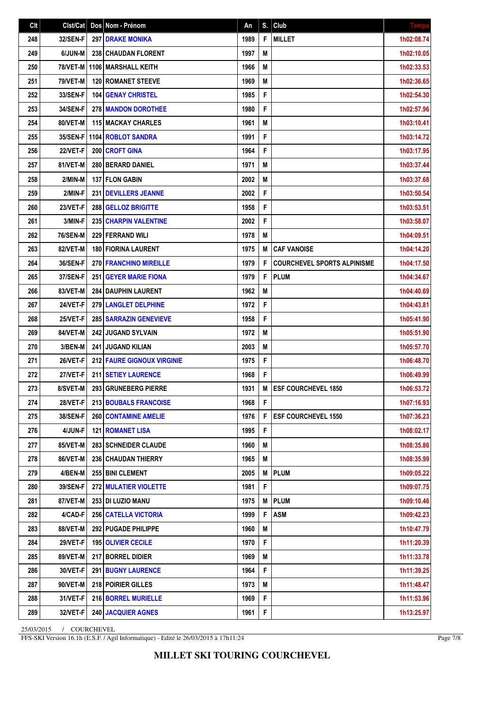| Clt | Clst/Cat        | Dos Nom - Prénom                  | An   | S. | Club                               | <b>Temps</b> |
|-----|-----------------|-----------------------------------|------|----|------------------------------------|--------------|
| 248 | 32/SEN-F        | <b>297 DRAKE MONIKA</b>           | 1989 | F  | <b>MILLET</b>                      | 1h02:08.74   |
| 249 | 6/JUN-M         | <b>238 CHAUDAN FLORENT</b>        | 1997 | M  |                                    | 1h02:10.05   |
| 250 | <b>78/VET-M</b> | 1106 MARSHALL KEITH               | 1966 | M  |                                    | 1h02:33.53   |
| 251 | <b>79/VET-M</b> | <b>120 ROMANET STEEVE</b>         | 1969 | M  |                                    | 1h02:36.65   |
| 252 | 33/SEN-F        | <b>104 GENAY CHRISTEL</b>         | 1985 | F  |                                    | 1h02:54.30   |
| 253 | 34/SEN-F        | 278 MANDON DOROTHEE               | 1980 | F  |                                    | 1h02:57.96   |
| 254 | 80/VET-M        | <b>115 MACKAY CHARLES</b>         | 1961 | Μ  |                                    | 1h03:10.41   |
| 255 | 35/SEN-F        | 1104 ROBLOT SANDRA                | 1991 | F  |                                    | 1h03:14.72   |
| 256 | 22/VET-F        | 200 CROFT GINA                    | 1964 | F  |                                    | 1h03:17.95   |
| 257 | 81/VET-M        | 280 BERARD DANIEL                 | 1971 | M  |                                    | 1h03:37.44   |
| 258 | 2/MIN-M         | <b>137 FLON GABIN</b>             | 2002 | Μ  |                                    | 1h03:37.68   |
| 259 | 2/MIN-F         | <b>231 DEVILLERS JEANNE</b>       | 2002 | F  |                                    | 1h03:50.54   |
| 260 | 23/VET-F        | <b>288   GELLOZ BRIGITTE</b>      | 1958 | F  |                                    | 1h03:53.51   |
| 261 | 3/MIN-F         | 235 CHARPIN VALENTINE             | 2002 | F  |                                    | 1h03:58.07   |
| 262 | <b>76/SEN-M</b> | <b>229 FERRAND WILL</b>           | 1978 | M  |                                    | 1h04:09.51   |
| 263 | 82/VET-M        | <b>180 FIORINA LAURENT</b>        | 1975 | M  | <b>CAF VANOISE</b>                 | 1h04:14.20   |
| 264 | <b>36/SEN-F</b> | 270 FRANCHINO MIREILLE            | 1979 | F  | <b>COURCHEVEL SPORTS ALPINISME</b> | 1h04:17.50   |
| 265 | 37/SEN-F        | 251 GEYER MARIE FIONA             | 1979 | F  | PLUM                               | 1h04:34.67   |
| 266 | 83/VET-M        | 284 DAUPHIN LAURENT               | 1962 | M  |                                    | 1h04:40.69   |
| 267 | 24/VET-F        | <b>279 LANGLET DELPHINE</b>       | 1972 | F  |                                    | 1h04:43.81   |
| 268 | 25/VET-F        | <b>285   SARRAZIN GENEVIEVE</b>   | 1958 | F  |                                    | 1h05:41.90   |
| 269 | 84/VET-M        | 242 JUGAND SYLVAIN                | 1972 | M  |                                    | 1h05:51.90   |
| 270 | 3/BEN-M         | 241 JUGAND KILIAN                 | 2003 | M  |                                    | 1h05:57.70   |
| 271 | 26/VET-F        | <b>212 FAURE GIGNOUX VIRGINIE</b> | 1975 | F  |                                    | 1h06:48.70   |
| 272 | 27/VET-F        | 211 SETIEY LAURENCE               | 1968 | F  |                                    | 1h06:49.99   |
| 273 | 8/SVET-M        | 293 GRUNEBERG PIERRE              | 1931 | M  | <b>ESF COURCHEVEL 1850</b>         | 1h06:53.72   |
| 274 | 28/VET-F        | 213 BOUBALS FRANCOISE             | 1968 | F  |                                    | 1h07:16.93   |
| 275 | <b>38/SEN-F</b> | <b>260 CONTAMINE AMELIE</b>       | 1976 | F  | <b>ESF COURCHEVEL 1550</b>         | 1h07:36.23   |
| 276 | 4/JUN-F         | <b>121   ROMANET LISA</b>         | 1995 | F  |                                    | 1h08:02.17   |
| 277 | 85/VET-M        | 283   SCHNEIDER CLAUDE            | 1960 | Μ  |                                    | 1h08:35.86   |
| 278 | 86/VET-M        | <b>236 CHAUDAN THIERRY</b>        | 1965 | Μ  |                                    | 1h08:35.99   |
| 279 | 4/BEN-M         | 255 BINI CLEMENT                  | 2005 | M  | <b>PLUM</b>                        | 1h09:05.22   |
| 280 | 39/SEN-F        | <b>272 MULATIER VIOLETTE</b>      | 1981 | F  |                                    | 1h09:07.75   |
| 281 | 87/VET-M        | 253 DI LUZIO MANU                 | 1975 | M  | <b>PLUM</b>                        | 1h09:10.46   |
| 282 | 4/CAD-F         | <b>256 CATELLA VICTORIA</b>       | 1999 | F  | <b>ASM</b>                         | 1h09:42.23   |
| 283 | 88/VET-M        | 292 PUGADE PHILIPPE               | 1960 | M  |                                    | 1h10:47.79   |
| 284 | 29/VET-F        | <b>195 OLIVIER CECILE</b>         | 1970 | F  |                                    | 1h11:20.39   |
| 285 | 89/VET-M        | 217 BORREL DIDIER                 | 1969 | M  |                                    | 1h11:33.78   |
| 286 | 30/VET-F        | <b>291 BUGNY LAURENCE</b>         | 1964 | F  |                                    | 1h11:39.25   |
| 287 | 90/VET-M        | 218 POIRIER GILLES                | 1973 | M  |                                    | 1h11:48.47   |
| 288 | 31/VET-F        | 216 BORREL MURIELLE               | 1969 | F  |                                    | 1h11:53.96   |
| 289 | 32/VET-F        | 240 JACQUIER AGNES                | 1961 | F  |                                    | 1h13:25.97   |

FFS-SKI Version 16.1h (E.S.F. / Agil Informatique) - Edité le 26/03/2015 à 17h11:24

Page 7/8